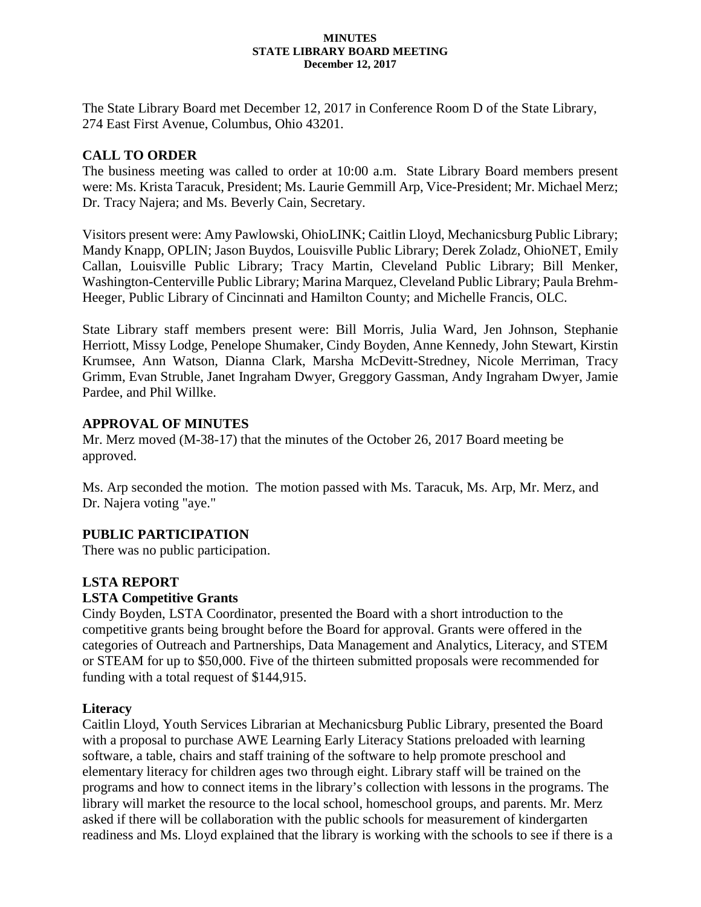#### **MINUTES STATE LIBRARY BOARD MEETING December 12, 2017**

The State Library Board met December 12, 2017 in Conference Room D of the State Library, 274 East First Avenue, Columbus, Ohio 43201.

# **CALL TO ORDER**

The business meeting was called to order at 10:00 a.m. State Library Board members present were: Ms. Krista Taracuk, President; Ms. Laurie Gemmill Arp, Vice-President; Mr. Michael Merz; Dr. Tracy Najera; and Ms. Beverly Cain, Secretary.

Visitors present were: Amy Pawlowski, OhioLINK; Caitlin Lloyd, Mechanicsburg Public Library; Mandy Knapp, OPLIN; Jason Buydos, Louisville Public Library; Derek Zoladz, OhioNET, Emily Callan, Louisville Public Library; Tracy Martin, Cleveland Public Library; Bill Menker, Washington-Centerville Public Library; Marina Marquez, Cleveland Public Library; Paula Brehm-Heeger, Public Library of Cincinnati and Hamilton County; and Michelle Francis, OLC.

State Library staff members present were: Bill Morris, Julia Ward, Jen Johnson, Stephanie Herriott, Missy Lodge, Penelope Shumaker, Cindy Boyden, Anne Kennedy, John Stewart, Kirstin Krumsee, Ann Watson, Dianna Clark, Marsha McDevitt-Stredney, Nicole Merriman, Tracy Grimm, Evan Struble, Janet Ingraham Dwyer, Greggory Gassman, Andy Ingraham Dwyer, Jamie Pardee, and Phil Willke.

# **APPROVAL OF MINUTES**

Mr. Merz moved (M-38-17) that the minutes of the October 26, 2017 Board meeting be approved.

Ms. Arp seconded the motion. The motion passed with Ms. Taracuk, Ms. Arp, Mr. Merz, and Dr. Najera voting "aye."

# **PUBLIC PARTICIPATION**

There was no public participation.

# **LSTA REPORT**

# **LSTA Competitive Grants**

Cindy Boyden, LSTA Coordinator, presented the Board with a short introduction to the competitive grants being brought before the Board for approval. Grants were offered in the categories of Outreach and Partnerships, Data Management and Analytics, Literacy, and STEM or STEAM for up to \$50,000. Five of the thirteen submitted proposals were recommended for funding with a total request of \$144,915.

# **Literacy**

Caitlin Lloyd, Youth Services Librarian at Mechanicsburg Public Library, presented the Board with a proposal to purchase AWE Learning Early Literacy Stations preloaded with learning software, a table, chairs and staff training of the software to help promote preschool and elementary literacy for children ages two through eight. Library staff will be trained on the programs and how to connect items in the library's collection with lessons in the programs. The library will market the resource to the local school, homeschool groups, and parents. Mr. Merz asked if there will be collaboration with the public schools for measurement of kindergarten readiness and Ms. Lloyd explained that the library is working with the schools to see if there is a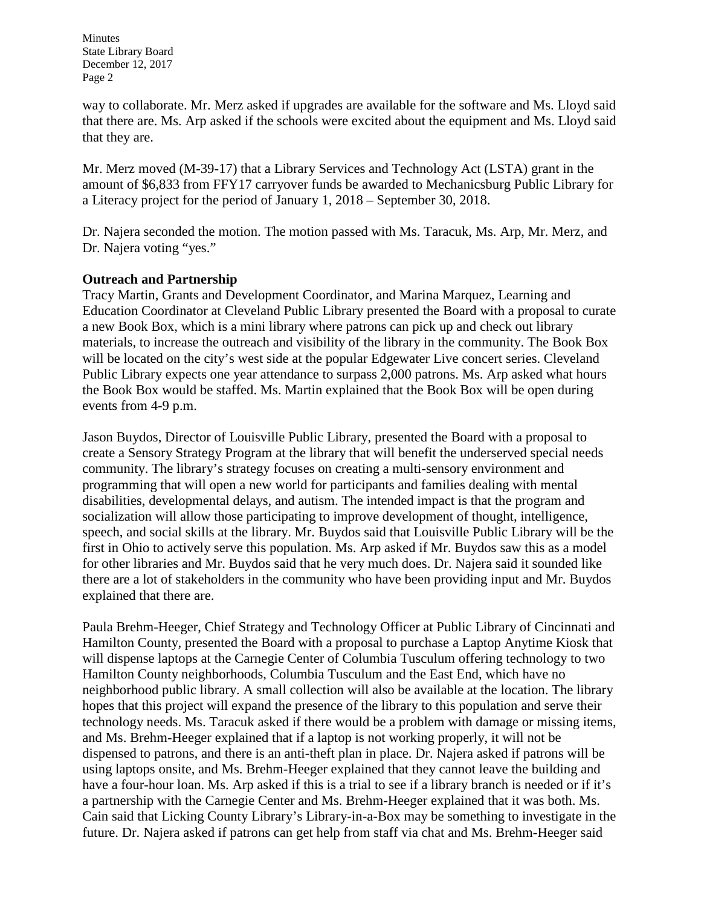way to collaborate. Mr. Merz asked if upgrades are available for the software and Ms. Lloyd said that there are. Ms. Arp asked if the schools were excited about the equipment and Ms. Lloyd said that they are.

Mr. Merz moved (M-39-17) that a Library Services and Technology Act (LSTA) grant in the amount of \$6,833 from FFY17 carryover funds be awarded to Mechanicsburg Public Library for a Literacy project for the period of January 1, 2018 – September 30, 2018.

Dr. Najera seconded the motion. The motion passed with Ms. Taracuk, Ms. Arp, Mr. Merz, and Dr. Najera voting "yes."

# **Outreach and Partnership**

Tracy Martin, Grants and Development Coordinator, and Marina Marquez, Learning and Education Coordinator at Cleveland Public Library presented the Board with a proposal to curate a new Book Box, which is a mini library where patrons can pick up and check out library materials, to increase the outreach and visibility of the library in the community. The Book Box will be located on the city's west side at the popular Edgewater Live concert series. Cleveland Public Library expects one year attendance to surpass 2,000 patrons. Ms. Arp asked what hours the Book Box would be staffed. Ms. Martin explained that the Book Box will be open during events from 4-9 p.m.

Jason Buydos, Director of Louisville Public Library, presented the Board with a proposal to create a Sensory Strategy Program at the library that will benefit the underserved special needs community. The library's strategy focuses on creating a multi-sensory environment and programming that will open a new world for participants and families dealing with mental disabilities, developmental delays, and autism. The intended impact is that the program and socialization will allow those participating to improve development of thought, intelligence, speech, and social skills at the library. Mr. Buydos said that Louisville Public Library will be the first in Ohio to actively serve this population. Ms. Arp asked if Mr. Buydos saw this as a model for other libraries and Mr. Buydos said that he very much does. Dr. Najera said it sounded like there are a lot of stakeholders in the community who have been providing input and Mr. Buydos explained that there are.

Paula Brehm-Heeger, Chief Strategy and Technology Officer at Public Library of Cincinnati and Hamilton County, presented the Board with a proposal to purchase a Laptop Anytime Kiosk that will dispense laptops at the Carnegie Center of Columbia Tusculum offering technology to two Hamilton County neighborhoods, Columbia Tusculum and the East End, which have no neighborhood public library. A small collection will also be available at the location. The library hopes that this project will expand the presence of the library to this population and serve their technology needs. Ms. Taracuk asked if there would be a problem with damage or missing items, and Ms. Brehm-Heeger explained that if a laptop is not working properly, it will not be dispensed to patrons, and there is an anti-theft plan in place. Dr. Najera asked if patrons will be using laptops onsite, and Ms. Brehm-Heeger explained that they cannot leave the building and have a four-hour loan. Ms. Arp asked if this is a trial to see if a library branch is needed or if it's a partnership with the Carnegie Center and Ms. Brehm-Heeger explained that it was both. Ms. Cain said that Licking County Library's Library-in-a-Box may be something to investigate in the future. Dr. Najera asked if patrons can get help from staff via chat and Ms. Brehm-Heeger said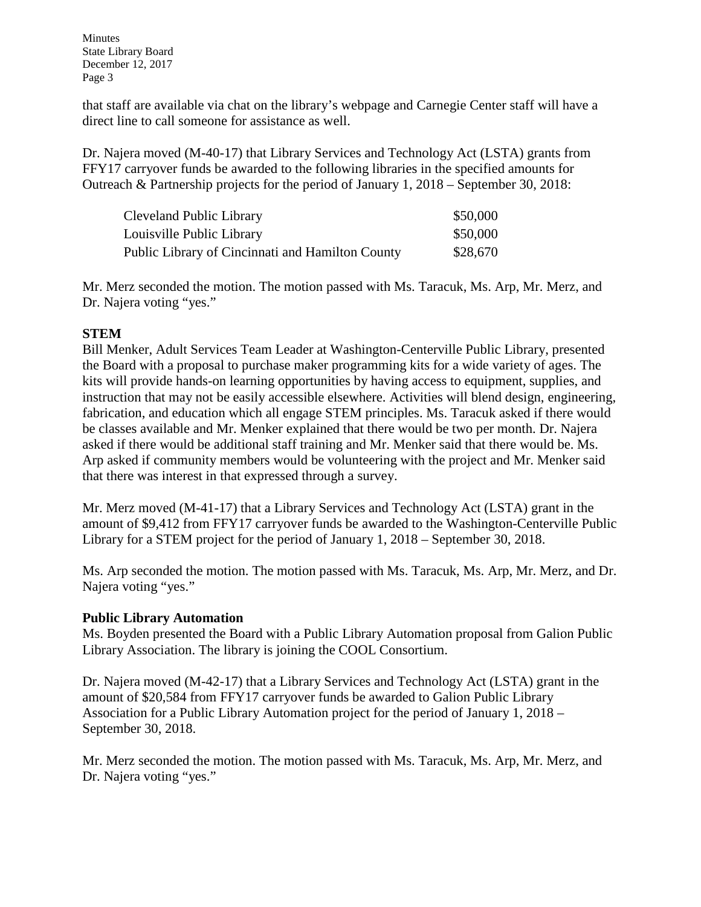that staff are available via chat on the library's webpage and Carnegie Center staff will have a direct line to call someone for assistance as well.

Dr. Najera moved (M-40-17) that Library Services and Technology Act (LSTA) grants from FFY17 carryover funds be awarded to the following libraries in the specified amounts for Outreach & Partnership projects for the period of January 1, 2018 – September 30, 2018:

| Cleveland Public Library                         | \$50,000 |
|--------------------------------------------------|----------|
| Louisville Public Library                        | \$50,000 |
| Public Library of Cincinnati and Hamilton County | \$28,670 |

Mr. Merz seconded the motion. The motion passed with Ms. Taracuk, Ms. Arp, Mr. Merz, and Dr. Najera voting "yes."

# **STEM**

Bill Menker, Adult Services Team Leader at Washington-Centerville Public Library, presented the Board with a proposal to purchase maker programming kits for a wide variety of ages. The kits will provide hands-on learning opportunities by having access to equipment, supplies, and instruction that may not be easily accessible elsewhere. Activities will blend design, engineering, fabrication, and education which all engage STEM principles. Ms. Taracuk asked if there would be classes available and Mr. Menker explained that there would be two per month. Dr. Najera asked if there would be additional staff training and Mr. Menker said that there would be. Ms. Arp asked if community members would be volunteering with the project and Mr. Menker said that there was interest in that expressed through a survey.

Mr. Merz moved (M-41-17) that a Library Services and Technology Act (LSTA) grant in the amount of \$9,412 from FFY17 carryover funds be awarded to the Washington-Centerville Public Library for a STEM project for the period of January 1, 2018 – September 30, 2018.

Ms. Arp seconded the motion. The motion passed with Ms. Taracuk, Ms. Arp, Mr. Merz, and Dr. Najera voting "yes."

# **Public Library Automation**

Ms. Boyden presented the Board with a Public Library Automation proposal from Galion Public Library Association. The library is joining the COOL Consortium.

Dr. Najera moved (M-42-17) that a Library Services and Technology Act (LSTA) grant in the amount of \$20,584 from FFY17 carryover funds be awarded to Galion Public Library Association for a Public Library Automation project for the period of January 1, 2018 – September 30, 2018.

Mr. Merz seconded the motion. The motion passed with Ms. Taracuk, Ms. Arp, Mr. Merz, and Dr. Najera voting "yes."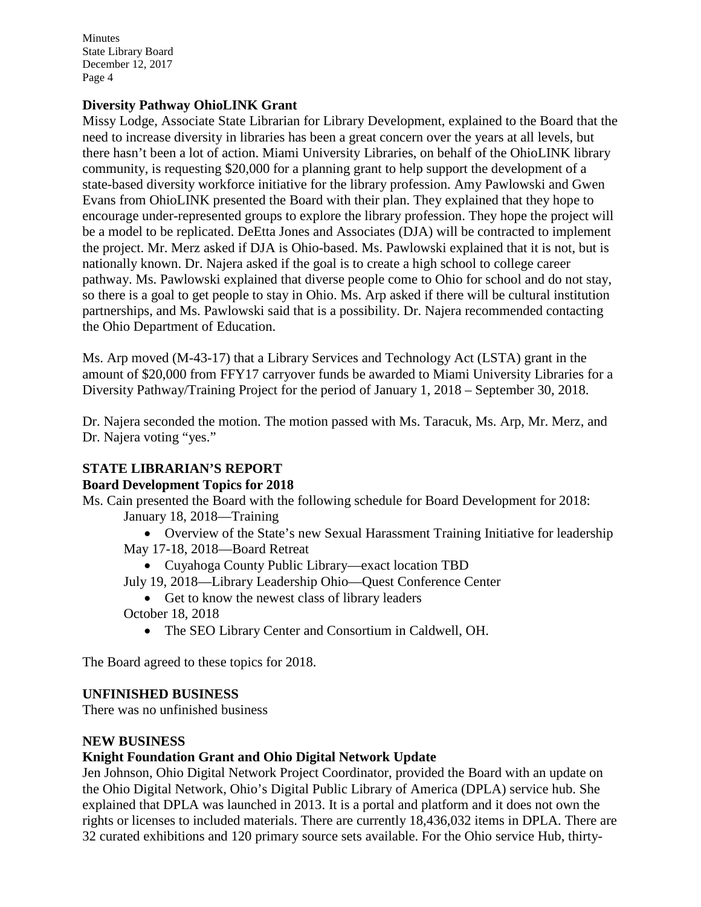### **Diversity Pathway OhioLINK Grant**

Missy Lodge, Associate State Librarian for Library Development, explained to the Board that the need to increase diversity in libraries has been a great concern over the years at all levels, but there hasn't been a lot of action. Miami University Libraries, on behalf of the OhioLINK library community, is requesting \$20,000 for a planning grant to help support the development of a state-based diversity workforce initiative for the library profession. Amy Pawlowski and Gwen Evans from OhioLINK presented the Board with their plan. They explained that they hope to encourage under-represented groups to explore the library profession. They hope the project will be a model to be replicated. DeEtta Jones and Associates (DJA) will be contracted to implement the project. Mr. Merz asked if DJA is Ohio-based. Ms. Pawlowski explained that it is not, but is nationally known. Dr. Najera asked if the goal is to create a high school to college career pathway. Ms. Pawlowski explained that diverse people come to Ohio for school and do not stay, so there is a goal to get people to stay in Ohio. Ms. Arp asked if there will be cultural institution partnerships, and Ms. Pawlowski said that is a possibility. Dr. Najera recommended contacting the Ohio Department of Education.

Ms. Arp moved (M-43-17) that a Library Services and Technology Act (LSTA) grant in the amount of \$20,000 from FFY17 carryover funds be awarded to Miami University Libraries for a Diversity Pathway/Training Project for the period of January 1, 2018 – September 30, 2018.

Dr. Najera seconded the motion. The motion passed with Ms. Taracuk, Ms. Arp, Mr. Merz, and Dr. Najera voting "yes."

# **STATE LIBRARIAN'S REPORT**

#### **Board Development Topics for 2018**

Ms. Cain presented the Board with the following schedule for Board Development for 2018: January 18, 2018—Training

- Overview of the State's new Sexual Harassment Training Initiative for leadership May 17-18, 2018—Board Retreat
	- Cuyahoga County Public Library—exact location TBD
- July 19, 2018—Library Leadership Ohio—Quest Conference Center
- Get to know the newest class of library leaders October 18, 2018
	- The SEO Library Center and Consortium in Caldwell, OH.

The Board agreed to these topics for 2018.

# **UNFINISHED BUSINESS**

There was no unfinished business

#### **NEW BUSINESS**

# **Knight Foundation Grant and Ohio Digital Network Update**

Jen Johnson, Ohio Digital Network Project Coordinator, provided the Board with an update on the Ohio Digital Network, Ohio's Digital Public Library of America (DPLA) service hub. She explained that DPLA was launched in 2013. It is a portal and platform and it does not own the rights or licenses to included materials. There are currently 18,436,032 items in DPLA. There are 32 curated exhibitions and 120 primary source sets available. For the Ohio service Hub, thirty-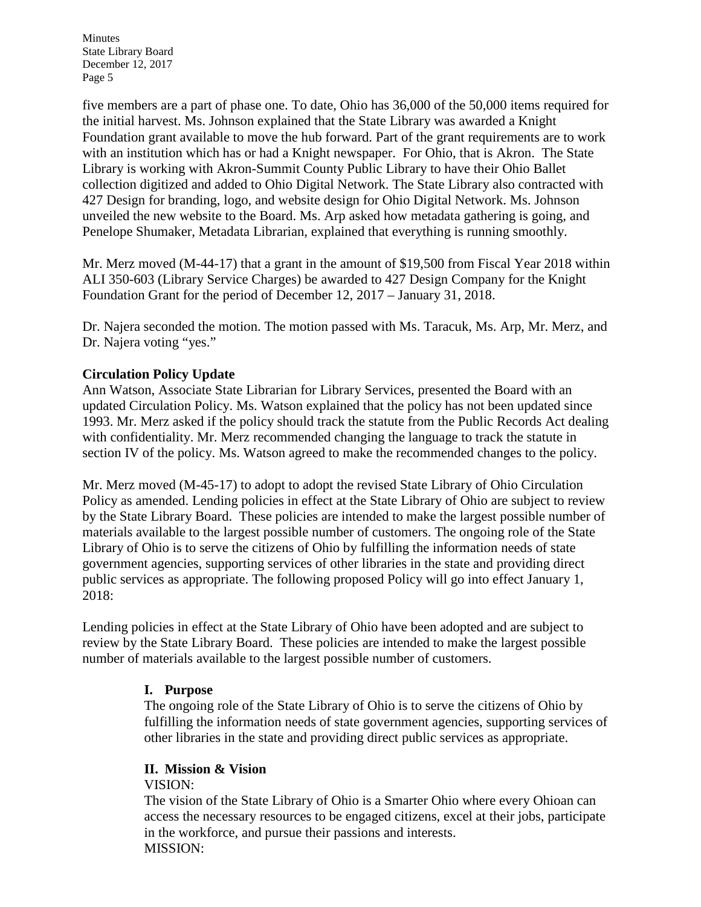five members are a part of phase one. To date, Ohio has 36,000 of the 50,000 items required for the initial harvest. Ms. Johnson explained that the State Library was awarded a Knight Foundation grant available to move the hub forward. Part of the grant requirements are to work with an institution which has or had a Knight newspaper. For Ohio, that is Akron. The State Library is working with Akron-Summit County Public Library to have their Ohio Ballet collection digitized and added to Ohio Digital Network. The State Library also contracted with 427 Design for branding, logo, and website design for Ohio Digital Network. Ms. Johnson unveiled the new website to the Board. Ms. Arp asked how metadata gathering is going, and Penelope Shumaker, Metadata Librarian, explained that everything is running smoothly.

Mr. Merz moved (M-44-17) that a grant in the amount of \$19,500 from Fiscal Year 2018 within ALI 350-603 (Library Service Charges) be awarded to 427 Design Company for the Knight Foundation Grant for the period of December 12, 2017 – January 31, 2018.

Dr. Najera seconded the motion. The motion passed with Ms. Taracuk, Ms. Arp, Mr. Merz, and Dr. Najera voting "yes."

# **Circulation Policy Update**

Ann Watson, Associate State Librarian for Library Services, presented the Board with an updated Circulation Policy. Ms. Watson explained that the policy has not been updated since 1993. Mr. Merz asked if the policy should track the statute from the Public Records Act dealing with confidentiality. Mr. Merz recommended changing the language to track the statute in section IV of the policy. Ms. Watson agreed to make the recommended changes to the policy.

Mr. Merz moved (M-45-17) to adopt to adopt the revised State Library of Ohio Circulation Policy as amended. Lending policies in effect at the State Library of Ohio are subject to review by the State Library Board. These policies are intended to make the largest possible number of materials available to the largest possible number of customers. The ongoing role of the State Library of Ohio is to serve the citizens of Ohio by fulfilling the information needs of state government agencies, supporting services of other libraries in the state and providing direct public services as appropriate. The following proposed Policy will go into effect January 1, 2018:

Lending policies in effect at the State Library of Ohio have been adopted and are subject to review by the State Library Board. These policies are intended to make the largest possible number of materials available to the largest possible number of customers.

# **I. Purpose**

The ongoing role of the State Library of Ohio is to serve the citizens of Ohio by fulfilling the information needs of state government agencies, supporting services of other libraries in the state and providing direct public services as appropriate.

# **II. Mission & Vision**

VISION:

The vision of the State Library of Ohio is a Smarter Ohio where every Ohioan can access the necessary resources to be engaged citizens, excel at their jobs, participate in the workforce, and pursue their passions and interests. MISSION: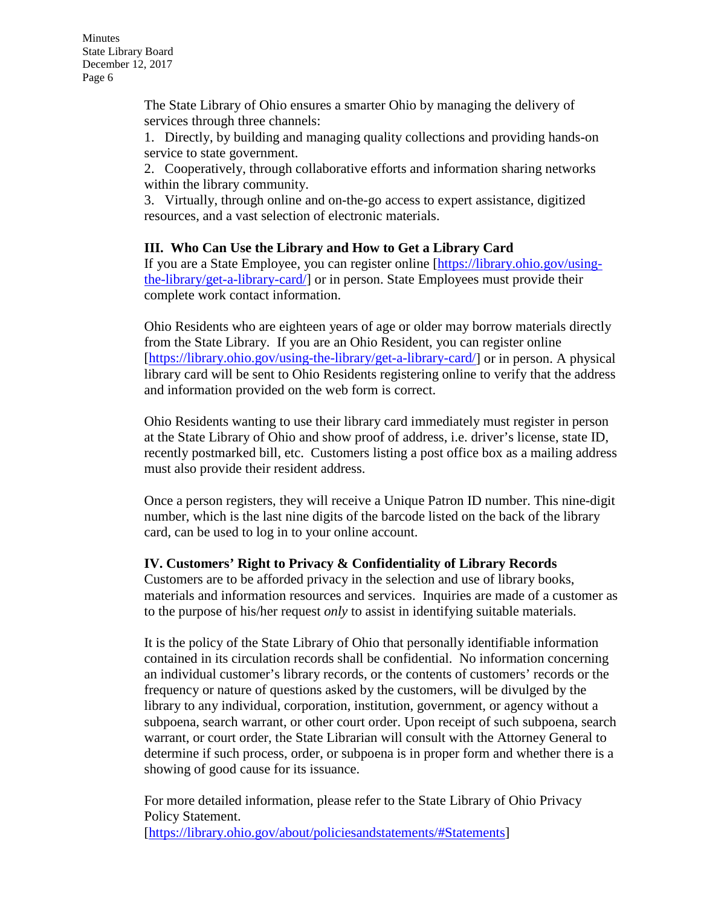The State Library of Ohio ensures a smarter Ohio by managing the delivery of services through three channels:

1. Directly, by building and managing quality collections and providing hands-on service to state government.

2. Cooperatively, through collaborative efforts and information sharing networks within the library community.

3. Virtually, through online and on-the-go access to expert assistance, digitized resources, and a vast selection of electronic materials.

### **III. Who Can Use the Library and How to Get a Library Card**

If you are a State Employee, you can register online [\[https://library.ohio.gov/using](https://library.ohio.gov/using-the-library/get-a-library-card/)[the-library/get-a-library-card/\]](https://library.ohio.gov/using-the-library/get-a-library-card/) or in person. State Employees must provide their complete work contact information.

Ohio Residents who are eighteen years of age or older may borrow materials directly from the State Library. If you are an Ohio Resident, you can register online [\[https://library.ohio.gov/using-the-library/get-a-library-card/\]](https://library.ohio.gov/using-the-library/get-a-library-card/) or in person. A physical library card will be sent to Ohio Residents registering online to verify that the address and information provided on the web form is correct.

Ohio Residents wanting to use their library card immediately must register in person at the State Library of Ohio and show proof of address, i.e. driver's license, state ID, recently postmarked bill, etc. Customers listing a post office box as a mailing address must also provide their resident address.

Once a person registers, they will receive a Unique Patron ID number. This nine-digit number, which is the last nine digits of the barcode listed on the back of the library card, can be used to log in to your online account.

# **IV. Customers' Right to Privacy & Confidentiality of Library Records**

Customers are to be afforded privacy in the selection and use of library books, materials and information resources and services. Inquiries are made of a customer as to the purpose of his/her request *only* to assist in identifying suitable materials.

It is the policy of the State Library of Ohio that personally identifiable information contained in its circulation records shall be confidential. No information concerning an individual customer's library records, or the contents of customers' records or the frequency or nature of questions asked by the customers, will be divulged by the library to any individual, corporation, institution, government, or agency without a subpoena, search warrant, or other court order. Upon receipt of such subpoena, search warrant, or court order, the State Librarian will consult with the Attorney General to determine if such process, order, or subpoena is in proper form and whether there is a showing of good cause for its issuance.

For more detailed information, please refer to the State Library of Ohio Privacy Policy Statement. [\[https://library.ohio.gov/about/policiesandstatements/#Statements\]](https://library.ohio.gov/about/policiesandstatements/%23Statements)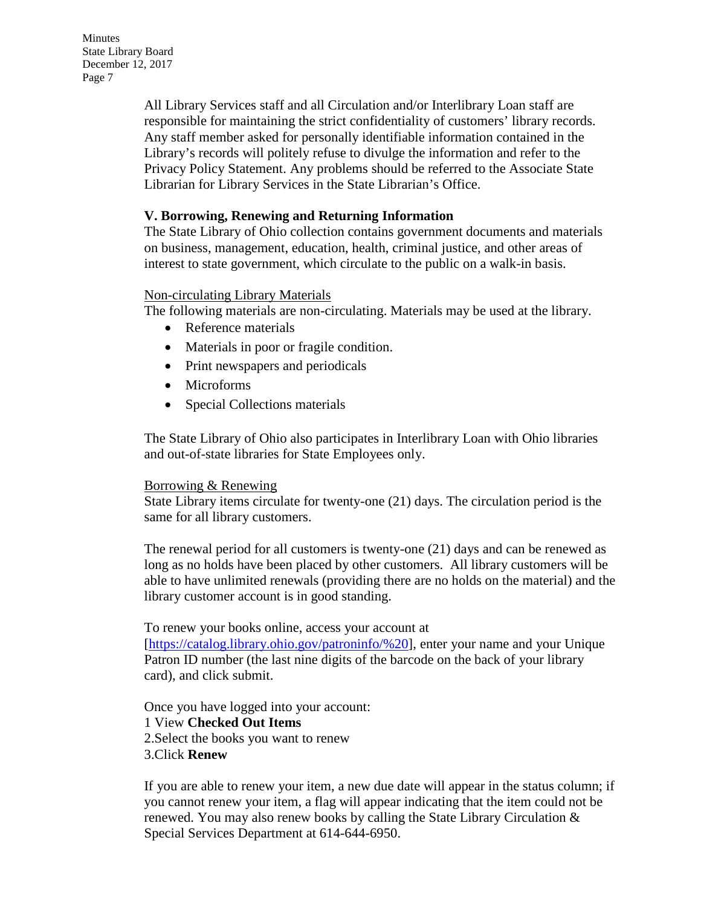> All Library Services staff and all Circulation and/or Interlibrary Loan staff are responsible for maintaining the strict confidentiality of customers' library records. Any staff member asked for personally identifiable information contained in the Library's records will politely refuse to divulge the information and refer to the Privacy Policy Statement. Any problems should be referred to the Associate State Librarian for Library Services in the State Librarian's Office.

### **V. Borrowing, Renewing and Returning Information**

The State Library of Ohio collection contains government documents and materials on business, management, education, health, criminal justice, and other areas of interest to state government, which circulate to the public on a walk-in basis.

#### Non-circulating Library Materials

The following materials are non-circulating. Materials may be used at the library.

- Reference materials
- Materials in poor or fragile condition.
- Print newspapers and periodicals
- Microforms
- Special Collections materials

The State Library of Ohio also participates in Interlibrary Loan with Ohio libraries and out-of-state libraries for State Employees only.

#### Borrowing & Renewing

State Library items circulate for twenty-one (21) days. The circulation period is the same for all library customers.

The renewal period for all customers is twenty-one (21) days and can be renewed as long as no holds have been placed by other customers. All library customers will be able to have unlimited renewals (providing there are no holds on the material) and the library customer account is in good standing.

To renew your books online, access your account at

[\[https://catalog.library.ohio.gov/patroninfo/%20\]](https://catalog.library.ohio.gov/patroninfo/), enter your name and your Unique Patron ID number (the last nine digits of the barcode on the back of your library card), and click submit.

Once you have logged into your account: 1 View **Checked Out Items** 2.Select the books you want to renew 3.Click **Renew**

If you are able to renew your item, a new due date will appear in the status column; if you cannot renew your item, a flag will appear indicating that the item could not be renewed. You may also renew books by calling the State Library Circulation  $\&$ Special Services Department at 614-644-6950.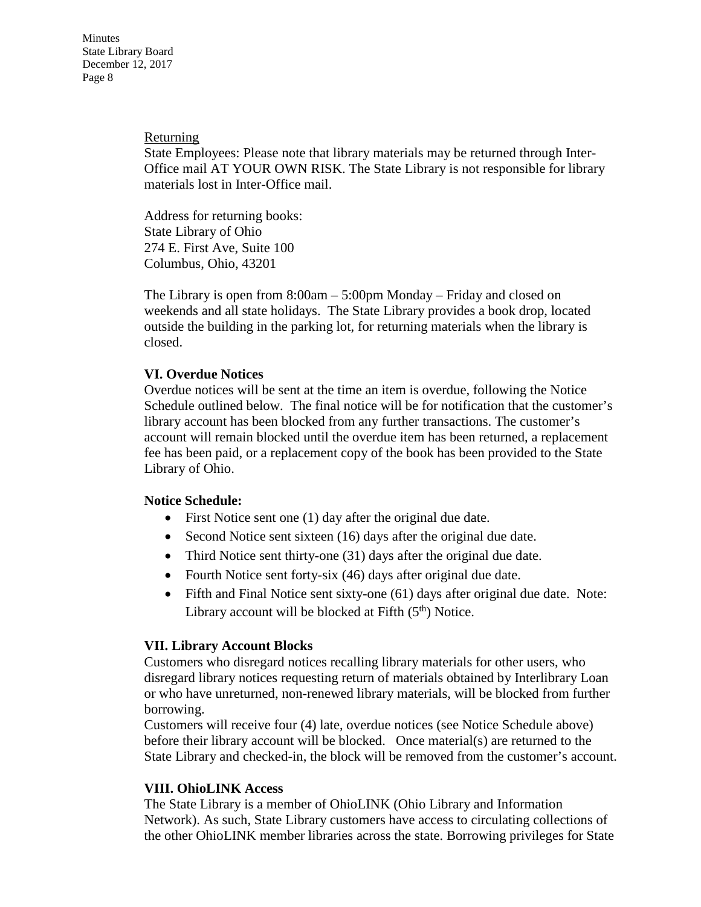#### Returning

State Employees: Please note that library materials may be returned through Inter-Office mail AT YOUR OWN RISK. The State Library is not responsible for library materials lost in Inter-Office mail.

Address for returning books: State Library of Ohio 274 E. First Ave, Suite 100 Columbus, Ohio, 43201

The Library is open from 8:00am – 5:00pm Monday – Friday and closed on weekends and all state holidays. The State Library provides a book drop, located outside the building in the parking lot, for returning materials when the library is closed.

# **VI. Overdue Notices**

Overdue notices will be sent at the time an item is overdue, following the Notice Schedule outlined below. The final notice will be for notification that the customer's library account has been blocked from any further transactions. The customer's account will remain blocked until the overdue item has been returned, a replacement fee has been paid, or a replacement copy of the book has been provided to the State Library of Ohio.

#### **Notice Schedule:**

- First Notice sent one (1) day after the original due date.
- Second Notice sent sixteen (16) days after the original due date.
- Third Notice sent thirty-one (31) days after the original due date.
- Fourth Notice sent forty-six (46) days after original due date.
- Fifth and Final Notice sent sixty-one (61) days after original due date. Note: Library account will be blocked at Fifth  $(5<sup>th</sup>)$  Notice.

# **VII. Library Account Blocks**

Customers who disregard notices recalling library materials for other users, who disregard library notices requesting return of materials obtained by Interlibrary Loan or who have unreturned, non-renewed library materials, will be blocked from further borrowing.

Customers will receive four (4) late, overdue notices (see Notice Schedule above) before their library account will be blocked. Once material(s) are returned to the State Library and checked-in, the block will be removed from the customer's account.

# **VIII. OhioLINK Access**

The State Library is a member of OhioLINK (Ohio Library and Information Network). As such, State Library customers have access to circulating collections of the other OhioLINK member libraries across the state. Borrowing privileges for State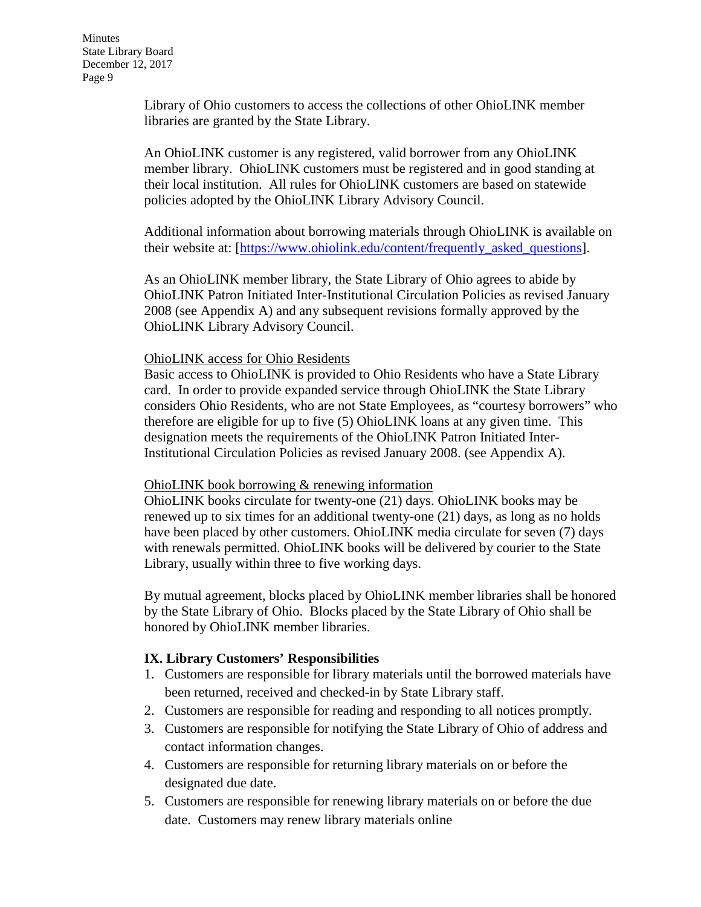Library of Ohio customers to access the collections of other OhioLINK member libraries are granted by the State Library.

An OhioLINK customer is any registered, valid borrower from any OhioLINK member library. OhioLINK customers must be registered and in good standing at their local institution. All rules for OhioLINK customers are based on statewide policies adopted by the OhioLINK Library Advisory Council.

Additional information about borrowing materials through OhioLINK is available on their website at: [\[https://www.ohiolink.edu/content/frequently\\_asked\\_questions\]](https://www.ohiolink.edu/content/frequently_asked_questions).

As an OhioLINK member library, the State Library of Ohio agrees to abide by OhioLINK Patron Initiated Inter-Institutional Circulation Policies as revised January 2008 (see Appendix A) and any subsequent revisions formally approved by the OhioLINK Library Advisory Council.

#### OhioLINK access for Ohio Residents

Basic access to OhioLINK is provided to Ohio Residents who have a State Library card. In order to provide expanded service through OhioLINK the State Library considers Ohio Residents, who are not State Employees, as "courtesy borrowers" who therefore are eligible for up to five (5) OhioLINK loans at any given time. This designation meets the requirements of the OhioLINK Patron Initiated Inter-Institutional Circulation Policies as revised January 2008. (see Appendix A).

#### OhioLINK book borrowing & renewing information

OhioLINK books circulate for twenty-one (21) days. OhioLINK books may be renewed up to six times for an additional twenty-one (21) days, as long as no holds have been placed by other customers. OhioLINK media circulate for seven (7) days with renewals permitted. OhioLINK books will be delivered by courier to the State Library, usually within three to five working days.

By mutual agreement, blocks placed by OhioLINK member libraries shall be honored by the State Library of Ohio. Blocks placed by the State Library of Ohio shall be honored by OhioLINK member libraries.

#### **IX. Library Customers' Responsibilities**

- 1. Customers are responsible for library materials until the borrowed materials have been returned, received and checked-in by State Library staff.
- 2. Customers are responsible for reading and responding to all notices promptly.
- 3. Customers are responsible for notifying the State Library of Ohio of address and contact information changes.
- 4. Customers are responsible for returning library materials on or before the designated due date.
- 5. Customers are responsible for renewing library materials on or before the due date. Customers may renew library materials online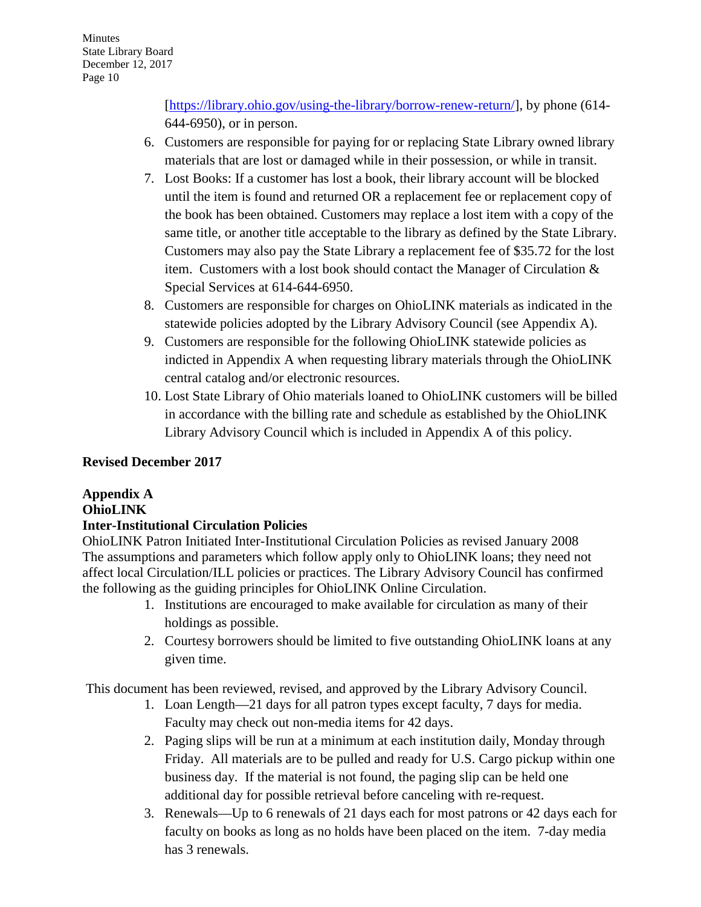[\[https://library.ohio.gov/using-the-library/borrow-renew-return/\]](https://library.ohio.gov/using-the-library/borrow-renew-return/), by phone (614-644-6950), or in person.

- 6. Customers are responsible for paying for or replacing State Library owned library materials that are lost or damaged while in their possession, or while in transit.
- 7. Lost Books: If a customer has lost a book, their library account will be blocked until the item is found and returned OR a replacement fee or replacement copy of the book has been obtained. Customers may replace a lost item with a copy of the same title, or another title acceptable to the library as defined by the State Library. Customers may also pay the State Library a replacement fee of \$35.72 for the lost item. Customers with a lost book should contact the Manager of Circulation & Special Services at 614-644-6950.
- 8. Customers are responsible for charges on OhioLINK materials as indicated in the statewide policies adopted by the Library Advisory Council (see Appendix A).
- 9. Customers are responsible for the following OhioLINK statewide policies as indicted in Appendix A when requesting library materials through the OhioLINK central catalog and/or electronic resources.
- 10. Lost State Library of Ohio materials loaned to OhioLINK customers will be billed in accordance with the billing rate and schedule as established by the OhioLINK Library Advisory Council which is included in Appendix A of this policy.

# **Revised December 2017**

# **Appendix A OhioLINK Inter-Institutional Circulation Policies**

OhioLINK Patron Initiated Inter-Institutional Circulation Policies as revised January 2008 The assumptions and parameters which follow apply only to OhioLINK loans; they need not affect local Circulation/ILL policies or practices. The Library Advisory Council has confirmed the following as the guiding principles for OhioLINK Online Circulation.

- 1. Institutions are encouraged to make available for circulation as many of their holdings as possible.
- 2. Courtesy borrowers should be limited to five outstanding OhioLINK loans at any given time.

This document has been reviewed, revised, and approved by the Library Advisory Council.

- 1. Loan Length—21 days for all patron types except faculty, 7 days for media. Faculty may check out non-media items for 42 days.
- 2. Paging slips will be run at a minimum at each institution daily, Monday through Friday. All materials are to be pulled and ready for U.S. Cargo pickup within one business day. If the material is not found, the paging slip can be held one additional day for possible retrieval before canceling with re-request.
- 3. Renewals—Up to 6 renewals of 21 days each for most patrons or 42 days each for faculty on books as long as no holds have been placed on the item. 7-day media has 3 renewals.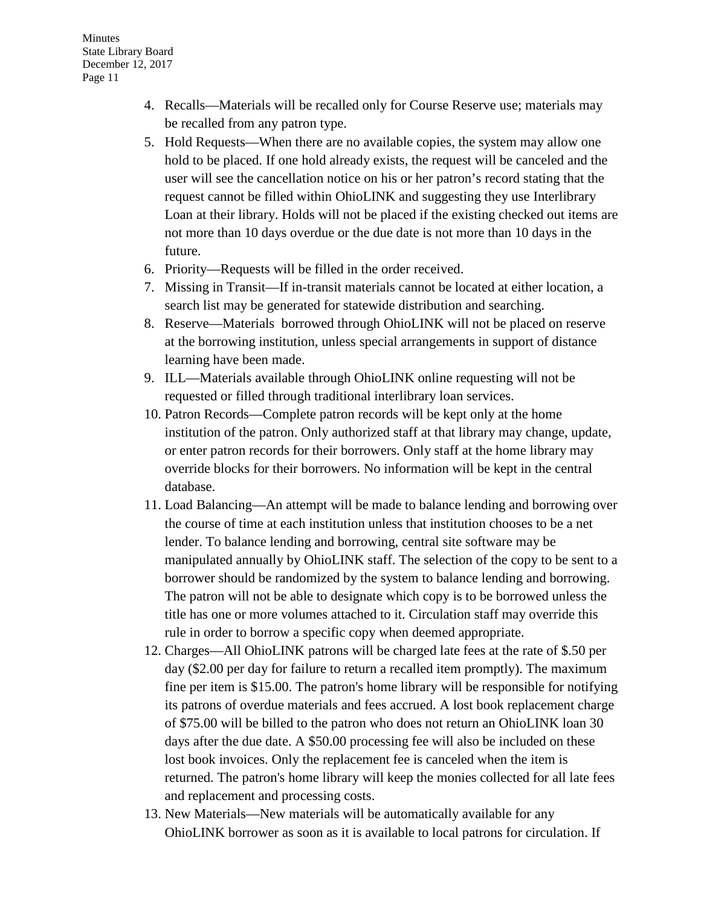- 4. Recalls—Materials will be recalled only for Course Reserve use; materials may be recalled from any patron type.
- 5. Hold Requests—When there are no available copies, the system may allow one hold to be placed. If one hold already exists, the request will be canceled and the user will see the cancellation notice on his or her patron's record stating that the request cannot be filled within OhioLINK and suggesting they use Interlibrary Loan at their library. Holds will not be placed if the existing checked out items are not more than 10 days overdue or the due date is not more than 10 days in the future.
- 6. Priority—Requests will be filled in the order received.
- 7. Missing in Transit—If in-transit materials cannot be located at either location, a search list may be generated for statewide distribution and searching.
- 8. Reserve—Materials borrowed through OhioLINK will not be placed on reserve at the borrowing institution, unless special arrangements in support of distance learning have been made.
- 9. ILL—Materials available through OhioLINK online requesting will not be requested or filled through traditional interlibrary loan services.
- 10. Patron Records—Complete patron records will be kept only at the home institution of the patron. Only authorized staff at that library may change, update, or enter patron records for their borrowers. Only staff at the home library may override blocks for their borrowers. No information will be kept in the central database.
- 11. Load Balancing—An attempt will be made to balance lending and borrowing over the course of time at each institution unless that institution chooses to be a net lender. To balance lending and borrowing, central site software may be manipulated annually by OhioLINK staff. The selection of the copy to be sent to a borrower should be randomized by the system to balance lending and borrowing. The patron will not be able to designate which copy is to be borrowed unless the title has one or more volumes attached to it. Circulation staff may override this rule in order to borrow a specific copy when deemed appropriate.
- 12. Charges—All OhioLINK patrons will be charged late fees at the rate of \$.50 per day (\$2.00 per day for failure to return a recalled item promptly). The maximum fine per item is \$15.00. The patron's home library will be responsible for notifying its patrons of overdue materials and fees accrued. A lost book replacement charge of \$75.00 will be billed to the patron who does not return an OhioLINK loan 30 days after the due date. A \$50.00 processing fee will also be included on these lost book invoices. Only the replacement fee is canceled when the item is returned. The patron's home library will keep the monies collected for all late fees and replacement and processing costs.
- 13. New Materials—New materials will be automatically available for any OhioLINK borrower as soon as it is available to local patrons for circulation. If